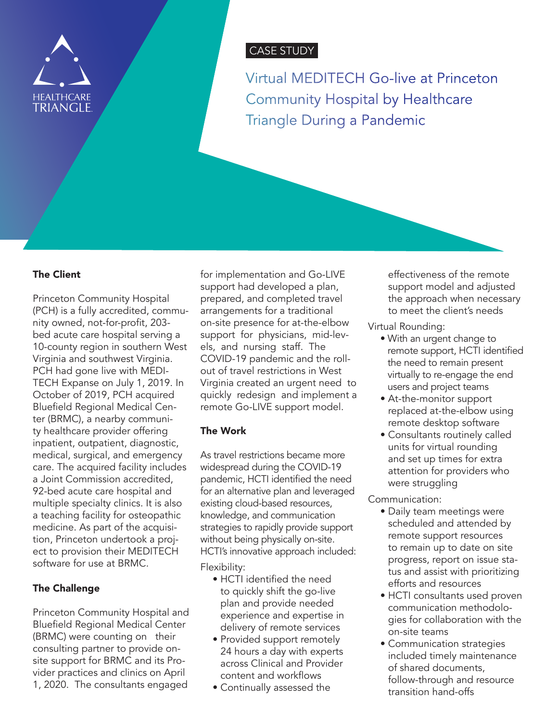

# CASE STUDY

Virtual MEDITECH Go-live at Princeton Community Hospital by Healthcare Triangle During a Pandemic

#### The Client

Princeton Community Hospital (PCH) is a fully accredited, community owned, not-for-profit, 203 bed acute care hospital serving a 10-county region in southern West Virginia and southwest Virginia. PCH had gone live with MEDI-TECH Expanse on July 1, 2019. In October of 2019, PCH acquired Bluefield Regional Medical Center (BRMC), a nearby community healthcare provider offering inpatient, outpatient, diagnostic, medical, surgical, and emergency care. The acquired facility includes a Joint Commission accredited, 92-bed acute care hospital and multiple specialty clinics. It is also a teaching facility for osteopathic medicine. As part of the acquisition, Princeton undertook a project to provision their MEDITECH software for use at BRMC.

## The Challenge

Princeton Community Hospital and Bluefield Regional Medical Center (BRMC) were counting on their consulting partner to provide onsite support for BRMC and its Provider practices and clinics on April 1, 2020. The consultants engaged

for implementation and Go-LIVE support had developed a plan, prepared, and completed travel arrangements for a traditional on-site presence for at-the-elbow support for physicians, mid-levels, and nursing staff. The COVID-19 pandemic and the rollout of travel restrictions in West Virginia created an urgent need to quickly redesign and implement a remote Go-LIVE support model.

## The Work

As travel restrictions became more widespread during the COVID-19 pandemic, HCTI identified the need for an alternative plan and leveraged existing cloud-based resources, knowledge, and communication strategies to rapidly provide support without being physically on-site. HCTI's innovative approach included:

Flexibility:

- HCTI identified the need to quickly shift the go-live plan and provide needed experience and expertise in delivery of remote services
- Provided support remotely 24 hours a day with experts across Clinical and Provider content and workflows
- Continually assessed the

effectiveness of the remote support model and adjusted the approach when necessary to meet the client's needs

Virtual Rounding:

- With an urgent change to remote support, HCTI identified the need to remain present virtually to re-engage the end users and project teams
- At-the-monitor support replaced at-the-elbow using remote desktop software
- Consultants routinely called units for virtual rounding and set up times for extra attention for providers who were struggling

Communication:

- Daily team meetings were scheduled and attended by remote support resources to remain up to date on site progress, report on issue status and assist with prioritizing efforts and resources
- HCTI consultants used proven communication methodologies for collaboration with the on-site teams
- Communication strategies included timely maintenance of shared documents, follow-through and resource transition hand-offs